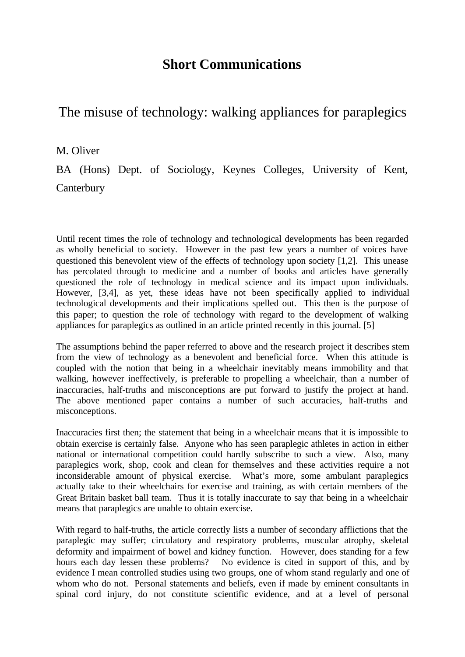# **Short Communications**

## The misuse of technology: walking appliances for paraplegics

## M. Oliver

BA (Hons) Dept. of Sociology, Keynes Colleges, University of Kent, **Canterbury** 

Until recent times the role of technology and technological developments has been regarded as wholly beneficial to society. However in the past few years a number of voices have questioned this benevolent view of the effects of technology upon society [1,2]. This unease has percolated through to medicine and a number of books and articles have generally questioned the role of technology in medical science and its impact upon individuals. However, [3,4], as yet, these ideas have not been specifically applied to individual technological developments and their implications spelled out. This then is the purpose of this paper; to question the role of technology with regard to the development of walking appliances for paraplegics as outlined in an article printed recently in this journal. [5]

The assumptions behind the paper referred to above and the research project it describes stem from the view of technology as a benevolent and beneficial force. When this attitude is coupled with the notion that being in a wheelchair inevitably means immobility and that walking, however ineffectively, is preferable to propelling a wheelchair, than a number of inaccuracies, half-truths and misconceptions are put forward to justify the project at hand. The above mentioned paper contains a number of such accuracies, half-truths and misconceptions.

Inaccuracies first then; the statement that being in a wheelchair means that it is impossible to obtain exercise is certainly false. Anyone who has seen paraplegic athletes in action in either national or international competition could hardly subscribe to such a view. Also, many paraplegics work, shop, cook and clean for themselves and these activities require a not inconsiderable amount of physical exercise. What's more, some ambulant paraplegics actually take to their wheelchairs for exercise and training, as with certain members of the Great Britain basket ball team. Thus it is totally inaccurate to say that being in a wheelchair means that paraplegics are unable to obtain exercise.

With regard to half-truths, the article correctly lists a number of secondary afflictions that the paraplegic may suffer; circulatory and respiratory problems, muscular atrophy, skeletal deformity and impairment of bowel and kidney function. However, does standing for a few hours each day lessen these problems? No evidence is cited in support of this, and by evidence I mean controlled studies using two groups, one of whom stand regularly and one of whom who do not. Personal statements and beliefs, even if made by eminent consultants in spinal cord injury, do not constitute scientific evidence, and at a level of personal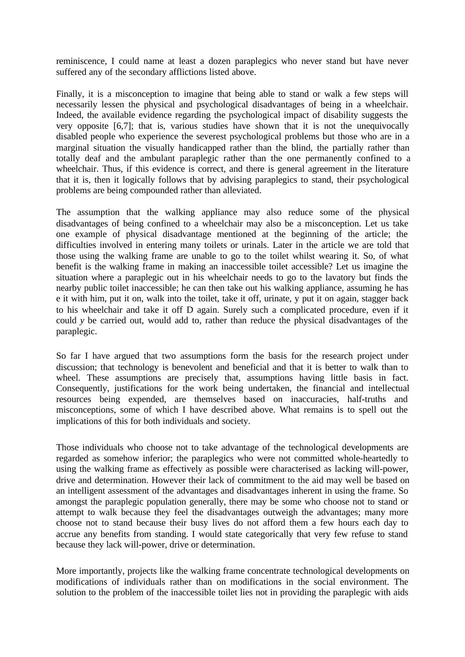reminiscence, I could name at least a dozen paraplegics who never stand but have never suffered any of the secondary afflictions listed above.

Finally, it is a misconception to imagine that being able to stand or walk a few steps will necessarily lessen the physical and psychological disadvantages of being in a wheelchair. Indeed, the available evidence regarding the psychological impact of disability suggests the very opposite [6,7]; that is, various studies have shown that it is not the unequivocally disabled people who experience the severest psychological problems but those who are in a marginal situation the visually handicapped rather than the blind, the partially rather than totally deaf and the ambulant paraplegic rather than the one permanently confined to a wheelchair. Thus, if this evidence is correct, and there is general agreement in the literature that it is, then it logically follows that by advising paraplegics to stand, their psychological problems are being compounded rather than alleviated.

The assumption that the walking appliance may also reduce some of the physical disadvantages of being confined to a wheelchair may also be a misconception. Let us take one example of physical disadvantage mentioned at the beginning of the article; the difficulties involved in entering many toilets or urinals. Later in the article we are told that those using the walking frame are unable to go to the toilet whilst wearing it. So, of what benefit is the walking frame in making an inaccessible toilet accessible? Let us imagine the situation where a paraplegic out in his wheelchair needs to go to the lavatory but finds the nearby public toilet inaccessible; he can then take out his walking appliance, assuming he has e it with him, put it on, walk into the toilet, take it off, urinate, y put it on again, stagger back to his wheelchair and take it off D again. Surely such a complicated procedure, even if it could *y* be carried out, would add to, rather than reduce the physical disadvantages of the paraplegic.

So far I have argued that two assumptions form the basis for the research project under discussion; that technology is benevolent and beneficial and that it is better to walk than to wheel. These assumptions are precisely that, assumptions having little basis in fact. Consequently, justifications for the work being undertaken, the financial and intellectual resources being expended, are themselves based on inaccuracies, half-truths and misconceptions, some of which I have described above. What remains is to spell out the implications of this for both individuals and society.

Those individuals who choose not to take advantage of the technological developments are regarded as somehow inferior; the paraplegics who were not committed whole-heartedly to using the walking frame as effectively as possible were characterised as lacking will-power, drive and determination. However their lack of commitment to the aid may well be based on an intelligent assessment of the advantages and disadvantages inherent in using the frame. So amongst the paraplegic population generally, there may be some who choose not to stand or attempt to walk because they feel the disadvantages outweigh the advantages; many more choose not to stand because their busy lives do not afford them a few hours each day to accrue any benefits from standing. I would state categorically that very few refuse to stand because they lack will-power, drive or determination.

More importantly, projects like the walking frame concentrate technological developments on modifications of individuals rather than on modifications in the social environment. The solution to the problem of the inaccessible toilet lies not in providing the paraplegic with aids